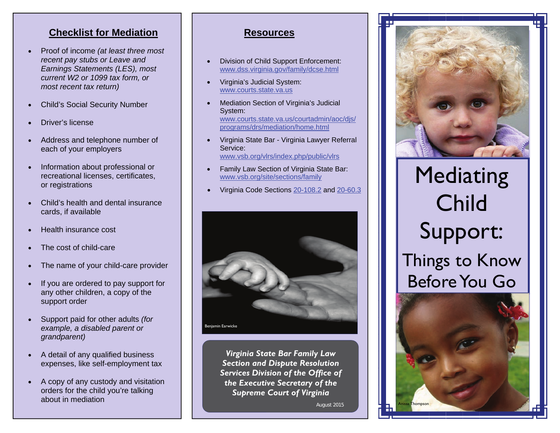## **Checklist for Mediation**

- $\bullet$  Proof of income *(at least three most recent pay stubs or Leave and Earnings Statements (LES), most current W2 or 1099 tax form, or most recent tax return)*
- $\bullet$ Child's Social Security Number
- $\bullet$ Driver's license
- $\bullet$  Address and telephone number of each of your employers
- $\bullet$  Information about professional or recreational licenses, certificates, or registrations
- $\bullet$  Child's health and dental insurance cards, if available
- . Health insurance cost
- $\bullet$ The cost of child-care
- $\bullet$ The name of your child-care provider
- $\bullet$  If you are ordered to pay support for any other children, a copy of the support order
- $\bullet$  Support paid for other adults *(for example, a disabled parent or grandparent)*
- $\bullet$  A detail of any qualified business expenses, like self-employment tax
- $\bullet$  A copy of any custody and visitation orders for the child you're talking about in mediation

#### **Resources**

- $\bullet$  Division of Child Support Enforcement: [www.dss.virginia.gov/family/dcse.html](http://www.dss.virginia.gov/family/dcse/index.cgi)
- $\bullet$  Virginia's Judicial System: [www.courts.state.va.us](http://www.courts.state.va.us)
- $\bullet$  Mediation Section of Virginia's Judicial System: [www.courts.state.va.us/courtadmin/aoc/djs/](http://www.courts.state.va.us/courtadmin/aoc/djs/programs/drs/mediation/home.html)  [programs/drs/mediation/home.html](http://www.courts.state.va.us/courtadmin/aoc/djs/programs/drs/mediation/home.html)
- $\bullet$  Virginia State Bar - Virginia Lawyer Referral Service: [www.vsb.org/vlrs/index.php/public/vlrs](http://www.vsb.org/vlrs/index.php/public/vlrs/)
- $\bullet$  Family Law Section of Virginia State Bar: [www.vsb.org/site/sections/family](http://www.vsb.org/site/sections/family)
- $\bullet$ Virginia Code Sections [20-108.2](http://leg1.state.va.us/cgi-bin/legp504.exe?000+cod+20-108.2) and [20-60.3](http://leg1.state.va.us/cgi-bin/legp504.exe?000+cod+20-60.3)



*Virginia State Bar Family Law Section and Dispute Resolution Services Division of the Office of the Executive Secretary of the Supreme Court of Virginia* 

August 2015



# Mediating Child Support: Things to Know Before You Go